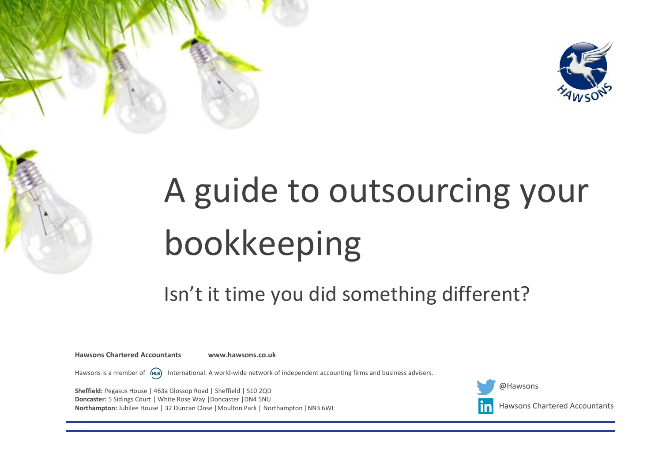

# A guide to outsourcing your bookkeeping

# Isn't it time you did something different?

**Hawsons Chartered Accountants www.hawsons.co.uk**

Hawsons is a member of International. A world-wide network of independent accounting firms and business advisers.

**Sheffield:** Pegasus House | 463a Glossop Road | Sheffield | S10 2QD **Doncaster:** 5 Sidings Court | White Rose Way |Doncaster |DN4 5NU **Northampton:** Jubilee House | 32 Duncan Close |Moulton Park | Northampton |NN3 6WL



Hawsons Chartered Accountants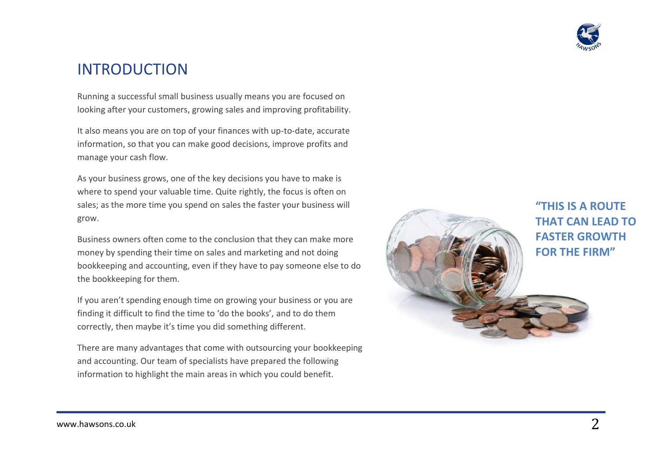

#### INTRODUCTION

Running a successful small business usually means you are focused on looking after your customers, growing sales and improving profitability.

It also means you are on top of your finances with up-to-date, accurate information, so that you can make good decisions, improve profits and manage your cash flow.

As your business grows, one of the key decisions you have to make is where to spend your valuable time. Quite rightly, the focus is often on sales; as the more time you spend on sales the faster your business will grow.

Business owners often come to the conclusion that they can make more money by spending their time on sales and marketing and not doing bookkeeping and accounting, even if they have to pay someone else to do the bookkeeping for them.

If you aren't spending enough time on growing your business or you are finding it difficult to find the time to 'do the books', and to do them correctly, then maybe it's time you did something different.

There are many advantages that come with outsourcing your bookkeeping and accounting. Our team of specialists have prepared the following information to highlight the main areas in which you could benefit.



**"THIS IS A ROUTE THAT CAN LEAD TO FASTER GROWTH FOR THE FIRM"**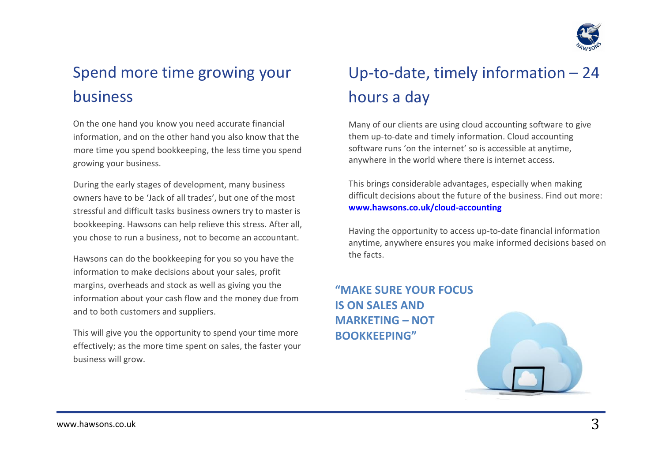

## Spend more time growing your business

On the one hand you know you need accurate financial information, and on the other hand you also know that the more time you spend bookkeeping, the less time you spend growing your business.

During the early stages of development, many business owners have to be 'Jack of all trades', but one of the most stressful and difficult tasks business owners try to master is bookkeeping. Hawsons can help relieve this stress. After all, you chose to run a business, not to become an accountant.

Hawsons can do the bookkeeping for you so you have the information to make decisions about your sales, profit margins, overheads and stock as well as giving you the information about your cash flow and the money due from and to both customers and suppliers.

This will give you the opportunity to spend your time more effectively; as the more time spent on sales, the faster your business will grow.

## Up-to-date, timely information – 24 hours a day

Many of our clients are using cloud accounting software to give them up-to-date and timely information. Cloud accounting software runs 'on the internet' so is accessible at anytime, anywhere in the world where there is internet access.

This brings considerable advantages, especially when making difficult decisions about the future of the business. Find out more: **[www.hawsons.co.uk/cloud-accounting](http://www.hawsons.co.uk/cloud-accounting)**

Having the opportunity to access up-to-date financial information anytime, anywhere ensures you make informed decisions based on the facts.

**"MAKE SURE YOUR FOCUS IS ON SALES AND MARKETING – NOT BOOKKEEPING"**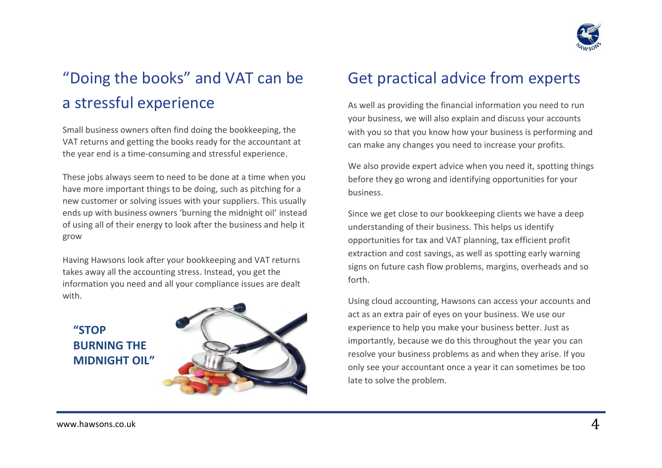

## "Doing the books" and VAT can be a stressful experience

Small business owners often find doing the bookkeeping, the VAT returns and getting the books ready for the accountant at the year end is a time-consuming and stressful experience.

These jobs always seem to need to be done at a time when you have more important things to be doing, such as pitching for a new customer or solving issues with your suppliers. This usually ends up with business owners 'burning the midnight oil' instead of using all of their energy to look after the business and help it grow

Having Hawsons look after your bookkeeping and VAT returns takes away all the accounting stress. Instead, you get the information you need and all your compliance issues are dealt with.

**"STOP BURNING THE MIDNIGHT OIL"**



### Get practical advice from experts

As well as providing the financial information you need to run your business, we will also explain and discuss your accounts with you so that you know how your business is performing and can make any changes you need to increase your profits.

We also provide expert advice when you need it, spotting things before they go wrong and identifying opportunities for your business.

Since we get close to our bookkeeping clients we have a deep understanding of their business. This helps us identify opportunities for tax and VAT planning, tax efficient profit extraction and cost savings, as well as spotting early warning signs on future cash flow problems, margins, overheads and so forth.

Using cloud accounting, Hawsons can access your accounts and act as an extra pair of eyes on your business. We use our experience to help you make your business better. Just as importantly, because we do this throughout the year you can resolve your business problems as and when they arise. If you only see your accountant once a year it can sometimes be too late to solve the problem.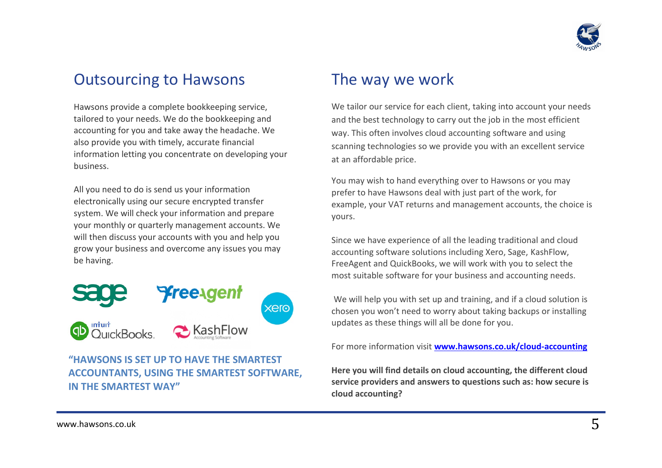

## Outsourcing to Hawsons

Hawsons provide a complete bookkeeping service, tailored to your needs. We do the bookkeeping and accounting for you and take away the headache. We also provide you with timely, accurate financial information letting you concentrate on developing your business.

All you need to do is send us your information electronically using our secure encrypted transfer system. We will check your information and prepare your monthly or quarterly management accounts. We will then discuss your accounts with you and help you grow your business and overcome any issues you may be having.



#### **"HAWSONS IS SET UP TO HAVE THE SMARTEST ACCOUNTANTS, USING THE SMARTEST SOFTWARE, IN THE SMARTEST WAY"**

### The way we work

We tailor our service for each client, taking into account your needs and the best technology to carry out the job in the most efficient way. This often involves cloud accounting software and using scanning technologies so we provide you with an excellent service at an affordable price.

You may wish to hand everything over to Hawsons or you may prefer to have Hawsons deal with just part of the work, for example, your VAT returns and management accounts, the choice is yours.

Since we have experience of all the leading traditional and cloud accounting software solutions including Xero, Sage, KashFlow, FreeAgent and QuickBooks, we will work with you to select the most suitable software for your business and accounting needs.

We will help you with set up and training, and if a cloud solution is chosen you won't need to worry about taking backups or installing updates as these things will all be done for you.

For more information visit **[www.hawsons.co.uk/cloud-accounting](http://www.hawsons.co.uk/cloud-accounting)**

**Here you will find details on cloud accounting, the different cloud service providers and answers to questions such as: how secure is cloud accounting?**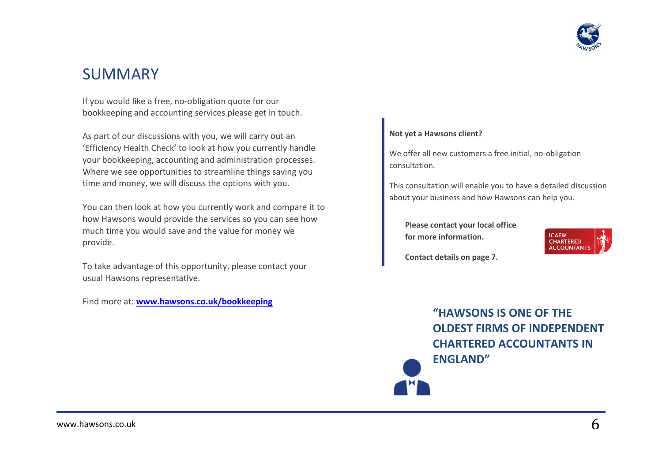

#### SUMMARY

If you would like a free, no-obligation quote for our bookkeeping and accounting services please get in touch.

As part of our discussions with you, we will carry out an 'Efficiency Health Check' to look at how you currently handle your bookkeeping, accounting and administration processes. Where we see opportunities to streamline things saving you time and money, we will discuss the options with you.

You can then look at how you currently work and compare it to how Hawsons would provide the services so you can see how much time you would save and the value for money we provide.

To take advantage of this opportunity, please contact your usual Hawsons representative.

Find more at: **[www.hawsons.co.uk/bookkeeping](http://www.hawsons.co.uk/bookkeeping)**

#### **Not yet a Hawsons client?**

We offer all new customers a free initial, no-obligation consultation.

This consultation will enable you to have a detailed discussion about your business and how Hawsons can help you.

**Please contact your local office for more information.**



**Contact details on page 7.**

**"HAWSONS IS ONE OF THE OLDEST FIRMS OF INDEPENDENT CHARTERED ACCOUNTANTS IN ENGLAND"**